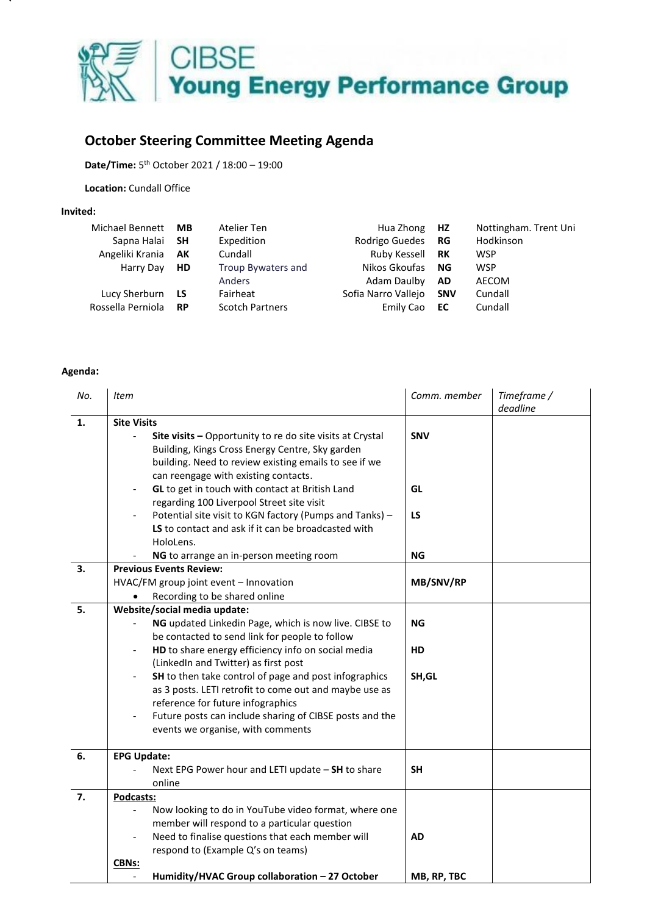

## **October Steering Committee Meeting Agenda**

**Date/Time:** 5 th October 2021 / 18:00 – 19:00

**Location:** Cundall Office

## **Invited:**

| <b>Michael Bennett</b> | MВ        | Atelier Ten            | Hua Zhong           | <b>HZ</b>  | Nottingham. Trent Uni |
|------------------------|-----------|------------------------|---------------------|------------|-----------------------|
| Sapna Halai            | - SH      | Expedition             | Rodrigo Guedes      | RG         | Hodkinson             |
| Angeliki Krania        | AK        | Cundall                | Ruby Kessell        | RK         | <b>WSP</b>            |
| Harry Day              | <b>HD</b> | Troup Bywaters and     | Nikos Gkoufas       | ΝG         | <b>WSP</b>            |
|                        |           | Anders                 | Adam Daulby         | <b>AD</b>  | <b>AECOM</b>          |
| Lucy Sherburn          | LS        | Fairheat               | Sofia Narro Vallejo | <b>SNV</b> | Cundall               |
| Rossella Perniola      | <b>RP</b> | <b>Scotch Partners</b> | Emily Cao           | EC         | Cundall               |

## **Agenda:**

| No.            | Item                                                                                         | Comm. member | Timeframe / |
|----------------|----------------------------------------------------------------------------------------------|--------------|-------------|
|                |                                                                                              |              | deadline    |
| $\mathbf{1}$ . | <b>Site Visits</b>                                                                           |              |             |
|                | Site visits - Opportunity to re do site visits at Crystal                                    | <b>SNV</b>   |             |
|                | Building, Kings Cross Energy Centre, Sky garden                                              |              |             |
|                | building. Need to review existing emails to see if we                                        |              |             |
|                | can reengage with existing contacts.                                                         |              |             |
|                | GL to get in touch with contact at British Land                                              | GL           |             |
|                | regarding 100 Liverpool Street site visit                                                    |              |             |
|                | Potential site visit to KGN factory (Pumps and Tanks) -                                      | LS           |             |
|                | LS to contact and ask if it can be broadcasted with                                          |              |             |
|                | HoloLens.                                                                                    |              |             |
|                | NG to arrange an in-person meeting room                                                      | <b>NG</b>    |             |
| 3.             | <b>Previous Events Review:</b>                                                               |              |             |
|                | HVAC/FM group joint event - Innovation                                                       | MB/SNV/RP    |             |
|                | Recording to be shared online                                                                |              |             |
| 5.             | Website/social media update:                                                                 |              |             |
|                | NG updated Linkedin Page, which is now live. CIBSE to                                        | ΝG           |             |
|                | be contacted to send link for people to follow                                               |              |             |
|                | HD to share energy efficiency info on social media<br>$\overline{\phantom{a}}$               | HD           |             |
|                | (LinkedIn and Twitter) as first post                                                         |              |             |
|                | SH to then take control of page and post infographics<br>$\overline{\phantom{a}}$            | SH, GL       |             |
|                | as 3 posts. LETI retrofit to come out and maybe use as                                       |              |             |
|                | reference for future infographics                                                            |              |             |
|                | Future posts can include sharing of CIBSE posts and the<br>events we organise, with comments |              |             |
|                |                                                                                              |              |             |
| 6.             | <b>EPG Update:</b>                                                                           |              |             |
|                | Next EPG Power hour and LETI update - SH to share                                            | <b>SH</b>    |             |
|                | online                                                                                       |              |             |
| 7.             | Podcasts:                                                                                    |              |             |
|                | Now looking to do in YouTube video format, where one                                         |              |             |
|                | member will respond to a particular question                                                 |              |             |
|                | Need to finalise questions that each member will                                             | <b>AD</b>    |             |
|                | respond to (Example Q's on teams)                                                            |              |             |
|                | CBNs:                                                                                        |              |             |
|                | Humidity/HVAC Group collaboration - 27 October                                               | MB, RP, TBC  |             |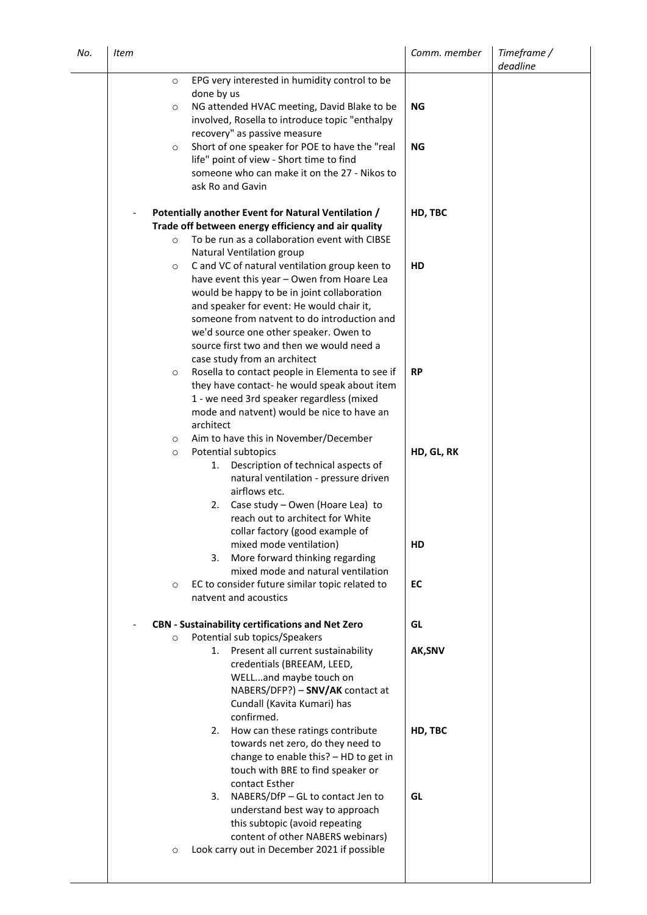| No. | <b>Item</b>                                                                                                                                                                 | Comm. member | Timeframe /<br>deadline |
|-----|-----------------------------------------------------------------------------------------------------------------------------------------------------------------------------|--------------|-------------------------|
|     | EPG very interested in humidity control to be<br>$\circ$<br>done by us                                                                                                      |              |                         |
|     | NG attended HVAC meeting, David Blake to be<br>$\circ$<br>involved, Rosella to introduce topic "enthalpy<br>recovery" as passive measure                                    | <b>NG</b>    |                         |
|     | Short of one speaker for POE to have the "real<br>$\circ$<br>life" point of view - Short time to find<br>someone who can make it on the 27 - Nikos to<br>ask Ro and Gavin   | <b>NG</b>    |                         |
|     | Potentially another Event for Natural Ventilation /<br>Trade off between energy efficiency and air quality                                                                  | HD, TBC      |                         |
|     | To be run as a collaboration event with CIBSE<br>$\circ$<br>Natural Ventilation group                                                                                       |              |                         |
|     | C and VC of natural ventilation group keen to<br>$\circ$                                                                                                                    | HD           |                         |
|     | have event this year - Owen from Hoare Lea<br>would be happy to be in joint collaboration<br>and speaker for event: He would chair it,                                      |              |                         |
|     | someone from natvent to do introduction and                                                                                                                                 |              |                         |
|     | we'd source one other speaker. Owen to<br>source first two and then we would need a                                                                                         |              |                         |
|     | case study from an architect<br>Rosella to contact people in Elementa to see if<br>$\circ$                                                                                  | <b>RP</b>    |                         |
|     | they have contact- he would speak about item                                                                                                                                |              |                         |
|     | 1 - we need 3rd speaker regardless (mixed<br>mode and natvent) would be nice to have an                                                                                     |              |                         |
|     | architect<br>Aim to have this in November/December<br>$\circ$                                                                                                               |              |                         |
|     | Potential subtopics<br>$\circ$<br>Description of technical aspects of<br>1.                                                                                                 | HD, GL, RK   |                         |
|     | natural ventilation - pressure driven<br>airflows etc.                                                                                                                      |              |                         |
|     | Case study - Owen (Hoare Lea) to<br>2.<br>reach out to architect for White<br>collar factory (good example of                                                               |              |                         |
|     | mixed mode ventilation)<br>More forward thinking regarding<br>3.                                                                                                            | HD           |                         |
|     | mixed mode and natural ventilation<br>EC to consider future similar topic related to<br>$\circ$                                                                             | EC           |                         |
|     | natvent and acoustics                                                                                                                                                       |              |                         |
|     | <b>CBN</b> - Sustainability certifications and Net Zero<br>Potential sub topics/Speakers<br>$\circ$                                                                         | GL           |                         |
|     | Present all current sustainability<br>1.<br>credentials (BREEAM, LEED,<br>WELLand maybe touch on<br>NABERS/DFP?) - SNV/AK contact at                                        | AK, SNV      |                         |
|     | Cundall (Kavita Kumari) has<br>confirmed.                                                                                                                                   |              |                         |
|     | How can these ratings contribute<br>2.<br>towards net zero, do they need to<br>change to enable this? - HD to get in<br>touch with BRE to find speaker or<br>contact Esther | HD, TBC      |                         |
|     | NABERS/DfP - GL to contact Jen to<br>3.<br>understand best way to approach<br>this subtopic (avoid repeating<br>content of other NABERS webinars)                           | GL           |                         |
|     | Look carry out in December 2021 if possible<br>$\circ$                                                                                                                      |              |                         |